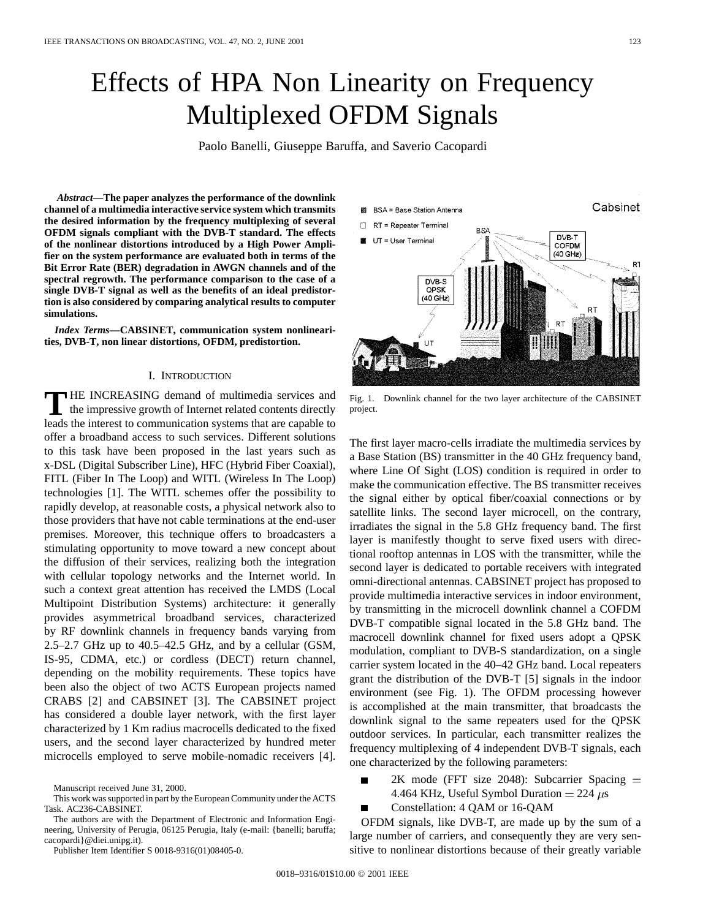# Effects of HPA Non Linearity on Frequency Multiplexed OFDM Signals

Paolo Banelli, Giuseppe Baruffa, and Saverio Cacopardi

*Abstract—***The paper analyzes the performance of the downlink channel of a multimedia interactive service system which transmits the desired information by the frequency multiplexing of several OFDM signals compliant with the DVB-T standard. The effects of the nonlinear distortions introduced by a High Power Amplifier on the system performance are evaluated both in terms of the Bit Error Rate (BER) degradation in AWGN channels and of the spectral regrowth. The performance comparison to the case of a single DVB-T signal as well as the benefits of an ideal predistortion is also considered by comparing analytical results to computer simulations.**

*Index Terms—***CABSINET, communication system nonlinearities, DVB-T, non linear distortions, OFDM, predistortion.**

### I. INTRODUCTION

**T** HE INCREASING demand of multimedia services and the impressive growth of Internet related contents directly leads the interest to communication systems that are capable to offer a broadband access to such services. Different solutions to this task have been proposed in the last years such as x-DSL (Digital Subscriber Line), HFC (Hybrid Fiber Coaxial), FITL (Fiber In The Loop) and WITL (Wireless In The Loop) technologies [1]. The WITL schemes offer the possibility to rapidly develop, at reasonable costs, a physical network also to those providers that have not cable terminations at the end-user premises. Moreover, this technique offers to broadcasters a stimulating opportunity to move toward a new concept about the diffusion of their services, realizing both the integration with cellular topology networks and the Internet world. In such a context great attention has received the LMDS (Local Multipoint Distribution Systems) architecture: it generally provides asymmetrical broadband services, characterized by RF downlink channels in frequency bands varying from 2.5–2.7 GHz up to 40.5–42.5 GHz, and by a cellular (GSM, IS-95, CDMA, etc.) or cordless (DECT) return channel, depending on the mobility requirements. These topics have been also the object of two ACTS European projects named CRABS [2] and CABSINET [3]. The CABSINET project has considered a double layer network, with the first layer characterized by 1 Km radius macrocells dedicated to the fixed users, and the second layer characterized by hundred meter microcells employed to serve mobile-nomadic receivers [4].

The authors are with the Department of Electronic and Information Engineering, University of Perugia, 06125 Perugia, Italy (e-mail: {banelli; baruffa; cacopardi}@diei.unipg.it).

Publisher Item Identifier S 0018-9316(01)08405-0.



Fig. 1. Downlink channel for the two layer architecture of the CABSINET project.

The first layer macro-cells irradiate the multimedia services by a Base Station (BS) transmitter in the 40 GHz frequency band, where Line Of Sight (LOS) condition is required in order to make the communication effective. The BS transmitter receives the signal either by optical fiber/coaxial connections or by satellite links. The second layer microcell, on the contrary, irradiates the signal in the 5.8 GHz frequency band. The first layer is manifestly thought to serve fixed users with directional rooftop antennas in LOS with the transmitter, while the second layer is dedicated to portable receivers with integrated omni-directional antennas. CABSINET project has proposed to provide multimedia interactive services in indoor environment, by transmitting in the microcell downlink channel a COFDM DVB-T compatible signal located in the 5.8 GHz band. The macrocell downlink channel for fixed users adopt a QPSK modulation, compliant to DVB-S standardization, on a single carrier system located in the 40–42 GHz band. Local repeaters grant the distribution of the DVB-T [5] signals in the indoor environment (see Fig. 1). The OFDM processing however is accomplished at the main transmitter, that broadcasts the downlink signal to the same repeaters used for the QPSK outdoor services. In particular, each transmitter realizes the frequency multiplexing of 4 independent DVB-T signals, each one characterized by the following parameters:

- 2K mode (FFT size 2048): Subcarrier Spacing 4.464 KHz, Useful Symbol Duration = 224  $\mu$ s
- Constellation: 4 QAM or 16-QAM

OFDM signals, like DVB-T, are made up by the sum of a large number of carriers, and consequently they are very sensitive to nonlinear distortions because of their greatly variable

Manuscript received June 31, 2000.

This work was supported in part by the European Community under the ACTS Task. AC236-CABSINET.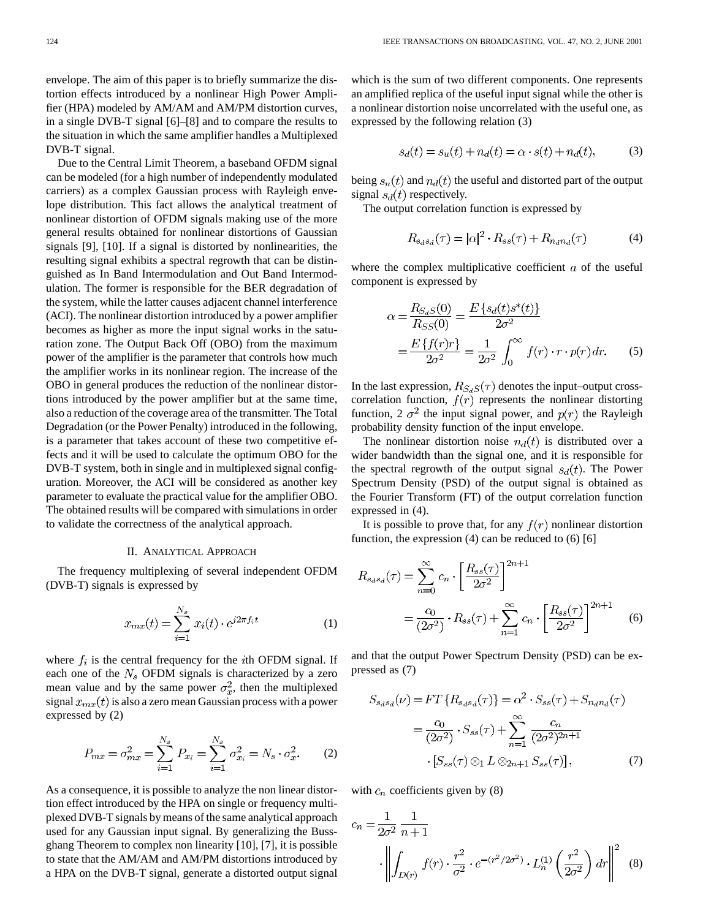envelope. The aim of this paper is to briefly summarize the distortion effects introduced by a nonlinear High Power Amplifier (HPA) modeled by AM/AM and AM/PM distortion curves, in a single DVB-T signal [6]–[8] and to compare the results to the situation in which the same amplifier handles a Multiplexed DVB-T signal.

Due to the Central Limit Theorem, a baseband OFDM signal can be modeled (for a high number of independently modulated carriers) as a complex Gaussian process with Rayleigh envelope distribution. This fact allows the analytical treatment of nonlinear distortion of OFDM signals making use of the more general results obtained for nonlinear distortions of Gaussian signals [9], [10]. If a signal is distorted by nonlinearities, the resulting signal exhibits a spectral regrowth that can be distinguished as In Band Intermodulation and Out Band Intermodulation. The former is responsible for the BER degradation of the system, while the latter causes adjacent channel interference (ACI). The nonlinear distortion introduced by a power amplifier becomes as higher as more the input signal works in the saturation zone. The Output Back Off (OBO) from the maximum power of the amplifier is the parameter that controls how much the amplifier works in its nonlinear region. The increase of the OBO in general produces the reduction of the nonlinear distortions introduced by the power amplifier but at the same time, also a reduction of the coverage area of the transmitter. The Total Degradation (or the Power Penalty) introduced in the following, is a parameter that takes account of these two competitive effects and it will be used to calculate the optimum OBO for the DVB-T system, both in single and in multiplexed signal configuration. Moreover, the ACI will be considered as another key parameter to evaluate the practical value for the amplifier OBO. The obtained results will be compared with simulations in order to validate the correctness of the analytical approach.

# II. ANALYTICAL APPROACH

The frequency multiplexing of several independent OFDM (DVB-T) signals is expressed by

$$
x_{mx}(t) = \sum_{i=1}^{N_s} x_i(t) \cdot e^{j2\pi f_i t}
$$
 (1)

where  $f_i$  is the central frequency for the *i*th OFDM signal. If each one of the  $N_s$  OFDM signals is characterized by a zero mean value and by the same power  $\sigma_x^2$ , then the multiplexed signal  $x_{mx}(t)$  is also a zero mean Gaussian process with a power expressed by (2)

$$
P_{mx} = \sigma_{mx}^2 = \sum_{i=1}^{N_s} P_{x_i} = \sum_{i=1}^{N_s} \sigma_{x_i}^2 = N_s \cdot \sigma_x^2.
$$
 (2)

As a consequence, it is possible to analyze the non linear distortion effect introduced by the HPA on single or frequency multiplexed DVB-T signals by means of the same analytical approach used for any Gaussian input signal. By generalizing the Bussghang Theorem to complex non linearity [10], [7], it is possible to state that the AM/AM and AM/PM distortions introduced by a HPA on the DVB-T signal, generate a distorted output signal which is the sum of two different components. One represents an amplified replica of the useful input signal while the other is a nonlinear distortion noise uncorrelated with the useful one, as expressed by the following relation (3)

$$
s_d(t) = s_u(t) + n_d(t) = \alpha \cdot s(t) + n_d(t),\tag{3}
$$

being  $s_u(t)$  and  $n_d(t)$  the useful and distorted part of the output signal  $s_d(t)$  respectively.

The output correlation function is expressed by

$$
R_{s_d s_d}(\tau) = |\alpha|^2 \cdot R_{ss}(\tau) + R_{n_d n_d}(\tau) \tag{4}
$$

where the complex multiplicative coefficient  $a$  of the useful component is expressed by

$$
\alpha = \frac{R_{S_dS}(0)}{R_{SS}(0)} = \frac{E\left\{s_d(t)s^*(t)\right\}}{2\sigma^2}
$$

$$
= \frac{E\left\{f(r)r\right\}}{2\sigma^2} = \frac{1}{2\sigma^2} \int_0^\infty f(r) \cdot r \cdot p(r) \, dr. \tag{5}
$$

In the last expression,  $R_{S_dS}(\tau)$  denotes the input–output crosscorrelation function,  $f(r)$  represents the nonlinear distorting function, 2  $\sigma^2$  the input signal power, and  $p(r)$  the Rayleigh probability density function of the input envelope.

The nonlinear distortion noise  $n_d(t)$  is distributed over a wider bandwidth than the signal one, and it is responsible for the spectral regrowth of the output signal  $s_d(t)$ . The Power Spectrum Density (PSD) of the output signal is obtained as the Fourier Transform (FT) of the output correlation function expressed in (4).

It is possible to prove that, for any  $f(r)$  nonlinear distortion function, the expression (4) can be reduced to (6) [6]

$$
R_{s_d s_d}(\tau) = \sum_{n=0}^{\infty} c_n \cdot \left[ \frac{R_{ss}(\tau)}{2\sigma^2} \right]^{2n+1}
$$
  
=  $\frac{c_0}{(2\sigma^2)} \cdot R_{ss}(\tau) + \sum_{n=1}^{\infty} c_n \cdot \left[ \frac{R_{ss}(\tau)}{2\sigma^2} \right]^{2n+1}$  (6)

and that the output Power Spectrum Density (PSD) can be expressed as (7)

$$
S_{s_d s_d}(\nu) = FT\left\{R_{s_d s_d}(\tau)\right\} = \alpha^2 \cdot S_{ss}(\tau) + S_{n_d n_d}(\tau)
$$

$$
= \frac{c_0}{(2\sigma^2)} \cdot S_{ss}(\tau) + \sum_{n=1}^{\infty} \frac{c_n}{(2\sigma^2)^{2n+1}}
$$

$$
\cdot [S_{ss}(\tau) \otimes_1 L \otimes_{2n+1} S_{ss}(\tau)], \tag{7}
$$

with  $c_n$  coefficients given by (8)

$$
c_n = \frac{1}{2\sigma^2} \frac{1}{n+1}
$$

$$
\cdot \left\| \int_{D(r)} f(r) \cdot \frac{r^2}{\sigma^2} \cdot e^{-(r^2/2\sigma^2)} \cdot L_n^{(1)}\left(\frac{r^2}{2\sigma^2}\right) dr \right\|^2 \tag{8}
$$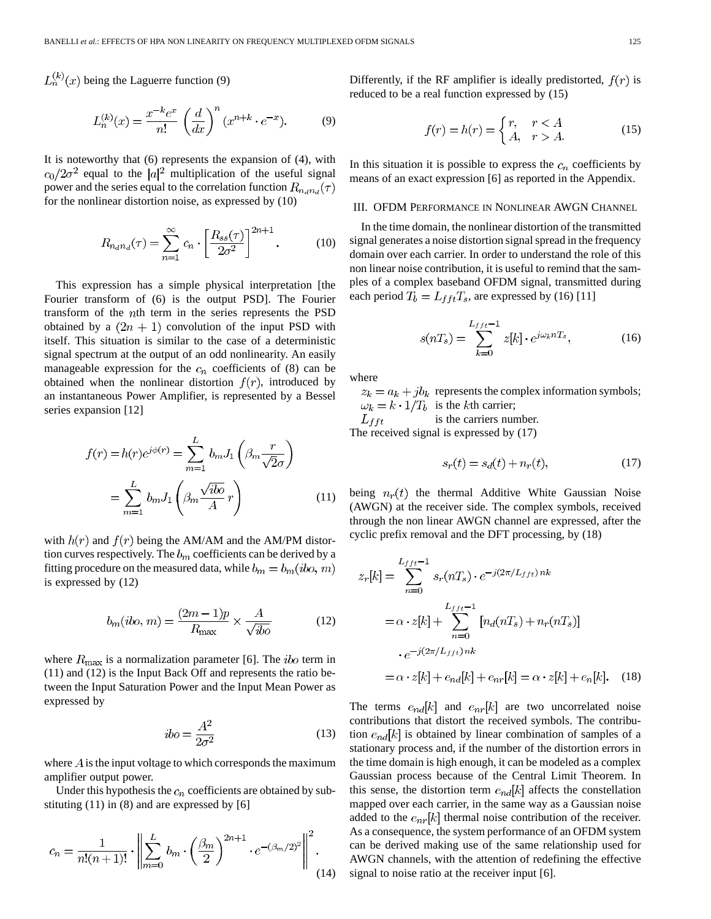$L_n^{(k)}(x)$  being the Laguerre function (9)

$$
L_n^{(k)}(x) = \frac{x^{-k}e^x}{n!} \left(\frac{d}{dx}\right)^n (x^{n+k} \cdot e^{-x}).
$$
 (9)

It is noteworthy that (6) represents the expansion of (4), with  $c_0/2\sigma^2$  equal to the  $|a|^2$  multiplication of the useful signal power and the series equal to the correlation function  $R_{n_d n_d}(\tau)$ for the nonlinear distortion noise, as expressed by (10)

$$
R_{n_{d}n_{d}}(\tau) = \sum_{n=1}^{\infty} c_{n} \cdot \left[\frac{R_{ss}(\tau)}{2\sigma^{2}}\right]^{2n+1}.
$$
 (10)

This expression has a simple physical interpretation [the Fourier transform of (6) is the output PSD]. The Fourier transform of the *th term in the series represents the PSD* obtained by a  $(2n + 1)$  convolution of the input PSD with itself. This situation is similar to the case of a deterministic signal spectrum at the output of an odd nonlinearity. An easily manageable expression for the  $c_n$  coefficients of (8) can be obtained when the nonlinear distortion  $f(r)$ , introduced by an instantaneous Power Amplifier, is represented by a Bessel series expansion [12]

$$
f(r) = h(r)e^{j\phi(r)} = \sum_{m=1}^{L} b_m J_1\left(\beta_m \frac{r}{\sqrt{2}\sigma}\right)
$$

$$
= \sum_{m=1}^{L} b_m J_1\left(\beta_m \frac{\sqrt{ib\sigma}}{A}r\right)
$$
(11)

with  $h(r)$  and  $f(r)$  being the AM/AM and the AM/PM distortion curves respectively. The  $b_m$  coefficients can be derived by a fitting procedure on the measured data, while  $b_m = b_m (ibo, m)$ is expressed by (12)

$$
b_m(ibo, m) = \frac{(2m-1)p}{R_{\text{max}}} \times \frac{A}{\sqrt{ibo}} \tag{12}
$$

where  $R_{\text{max}}$  is a normalization parameter [6]. The *ibo* term in (11) and (12) is the Input Back Off and represents the ratio between the Input Saturation Power and the Input Mean Power as expressed by

$$
ibo = \frac{A^2}{2\sigma^2} \tag{13}
$$

where  $\vec{A}$  is the input voltage to which corresponds the maximum amplifier output power.

Under this hypothesis the  $c_n$  coefficients are obtained by substituting (11) in (8) and are expressed by [6]

$$
c_n = \frac{1}{n!(n+1)!} \cdot \left\| \sum_{m=0}^{L} b_m \cdot \left(\frac{\beta_m}{2}\right)^{2n+1} \cdot e^{-(\beta_m/2)^2} \right\|^2.
$$
\n(14)

Differently, if the RF amplifier is ideally predistorted,  $f(r)$  is reduced to be a real function expressed by (15)

$$
f(r) = h(r) = \begin{cases} r, & r < A \\ A, & r > A. \end{cases} \tag{15}
$$

In this situation it is possible to express the  $c_n$  coefficients by means of an exact expression [6] as reported in the Appendix.

#### III. OFDM PERFORMANCE IN NONLINEAR AWGN CHANNEL

In the time domain, the nonlinear distortion of the transmitted signal generates a noise distortion signal spread in the frequency domain over each carrier. In order to understand the role of this non linear noise contribution, it is useful to remind that the samples of a complex baseband OFDM signal, transmitted during each period  $T_b = L_{fft}T_s$ , are expressed by (16) [11]

$$
s(nT_s) = \sum_{k=0}^{L_{fft}-1} z[k] \cdot e^{j\omega_k nT_s},
$$
 (16)

where

 $z_k = a_k + jb_k$  represents the complex information symbols;  $\omega_k = k \cdot 1/T_b$  is the kth carrier;

is the carriers number.  $L_{fft}$ 

The received signal is expressed by (17)

$$
s_r(t) = s_d(t) + n_r(t),\tag{17}
$$

being  $n_r(t)$  the thermal Additive White Gaussian Noise (AWGN) at the receiver side. The complex symbols, received through the non linear AWGN channel are expressed, after the cyclic prefix removal and the DFT processing, by (18)

$$
z_r[k] = \sum_{n=0}^{L_{fft}-1} s_r(nT_s) \cdot e^{-j(2\pi/L_{fft})nk}
$$
  

$$
= \alpha \cdot z[k] + \sum_{n=0}^{L_{fft}-1} [n_d(nT_s) + n_r(nT_s)]
$$
  

$$
\cdot e^{-j(2\pi/L_{fft})nk}
$$
  

$$
= \alpha \cdot z[k] + e_{nd}[k] + e_{nr}[k] = \alpha \cdot z[k] + e_n[k]. \quad (18)
$$

The terms  $e_{nd}[k]$  and  $e_{nr}[k]$  are two uncorrelated noise contributions that distort the received symbols. The contribution  $e_{nd}[k]$  is obtained by linear combination of samples of a stationary process and, if the number of the distortion errors in the time domain is high enough, it can be modeled as a complex Gaussian process because of the Central Limit Theorem. In this sense, the distortion term  $e_{nd}[k]$  affects the constellation mapped over each carrier, in the same way as a Gaussian noise added to the  $e_{nr}[k]$  thermal noise contribution of the receiver. As a consequence, the system performance of an OFDM system can be derived making use of the same relationship used for AWGN channels, with the attention of redefining the effective signal to noise ratio at the receiver input [6].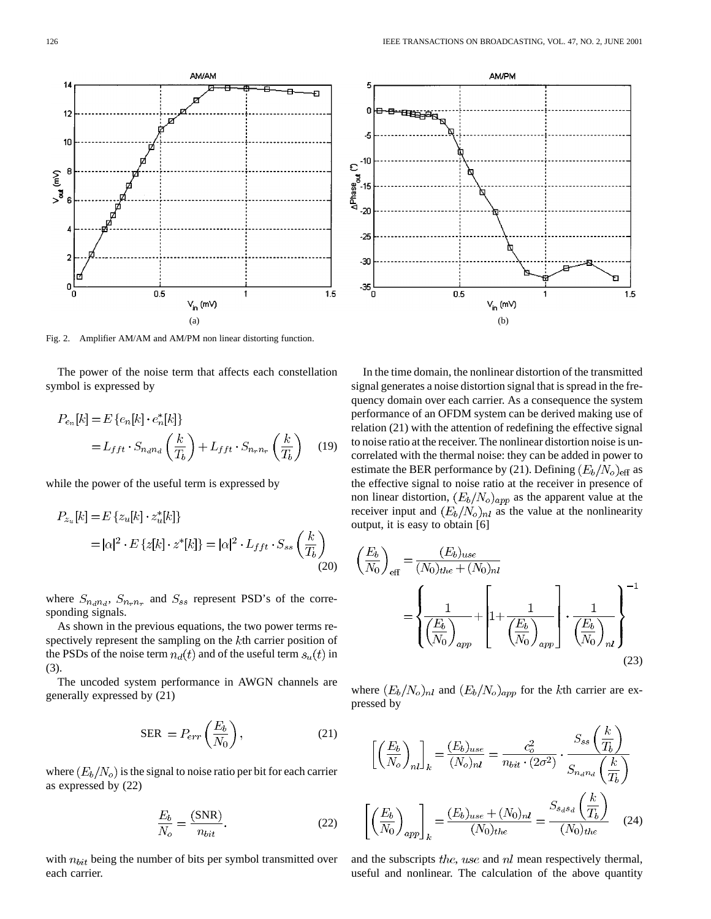Fig. 2. Amplifier AM/AM and AM/PM non linear distorting function.

The power of the noise term that affects each constellation symbol is expressed by

$$
P_{e_n}[k] = E\left\{e_n[k]\cdot e_n^*[k]\right\}
$$
  
=  $L_{fft} \cdot S_{n_a n_d} \left(\frac{k}{T_b}\right) + L_{fft} \cdot S_{n_r n_r} \left(\frac{k}{T_b}\right)$  (19)

while the power of the useful term is expressed by

$$
P_{z_u}[k] = E\left\{z_u[k]\cdot z_u^*[k]\right\}
$$
  
=  $|\alpha|^2 \cdot E\left\{z[k]\cdot z^*[k]\right\} = |\alpha|^2 \cdot L_{fft} \cdot S_{ss}\left(\frac{k}{T_b}\right)$   
(20)

where  $S_{n_d n_d}$ ,  $S_{n_r n_r}$  and  $S_{ss}$  represent PSD's of the corresponding signals.

As shown in the previous equations, the two power terms respectively represent the sampling on the  $k$ th carrier position of the PSDs of the noise term  $n_d(t)$  and of the useful term  $s_u(t)$  in (3).

The uncoded system performance in AWGN channels are generally expressed by (21)

$$
SER = P_{err}\left(\frac{E_b}{N_0}\right),\tag{21}
$$

where  $(E_b/N_o)$  is the signal to noise ratio per bit for each carrier as expressed by (22)

$$
\frac{E_b}{N_o} = \frac{\text{(SNR)}}{n_{bit}}.\tag{22}
$$

with  $n_{bit}$  being the number of bits per symbol transmitted over each carrier.



 $1.5$ 

$$
\left(\frac{E_b}{N_0}\right)_{\text{eff}} = \frac{(E_b)_{use}}{(N_0)_{the} + (N_0)_{nl}} = \left\{ \frac{1}{\left(\frac{E_b}{N_0}\right)_{app}} + \left[1 + \frac{1}{\left(\frac{E_b}{N_0}\right)_{app}}\right] \cdot \frac{1}{\left(\frac{E_b}{N_0}\right)_{nl}} \right\}^{-1}
$$
\n(23)

where  $(E_b/N_o)_{nl}$  and  $(E_b/N_o)_{app}$  for the kth carrier are expressed by

$$
\left[ \left( \frac{E_b}{N_o} \right)_{nl} \right]_k = \frac{(E_b)_{use}}{(N_o)_{nl}} = \frac{c_o^2}{n_{bit} \cdot (2\sigma^2)} \cdot \frac{S_{ss} \left( \frac{k}{T_b} \right)}{S_{n_d n_d} \left( \frac{k}{T_b} \right)}
$$

$$
\left[ \left( \frac{E_b}{N_0} \right)_{app} \right]_k = \frac{(E_b)_{use} + (N_0)_{nl}}{(N_0)_{the}} = \frac{S_{s_d s_d} \left( \frac{k}{T_b} \right)}{(N_0)_{the}} \quad (24)
$$

and the subscripts  $the$ , use and  $nl$  mean respectively thermal, useful and nonlinear. The calculation of the above quantity



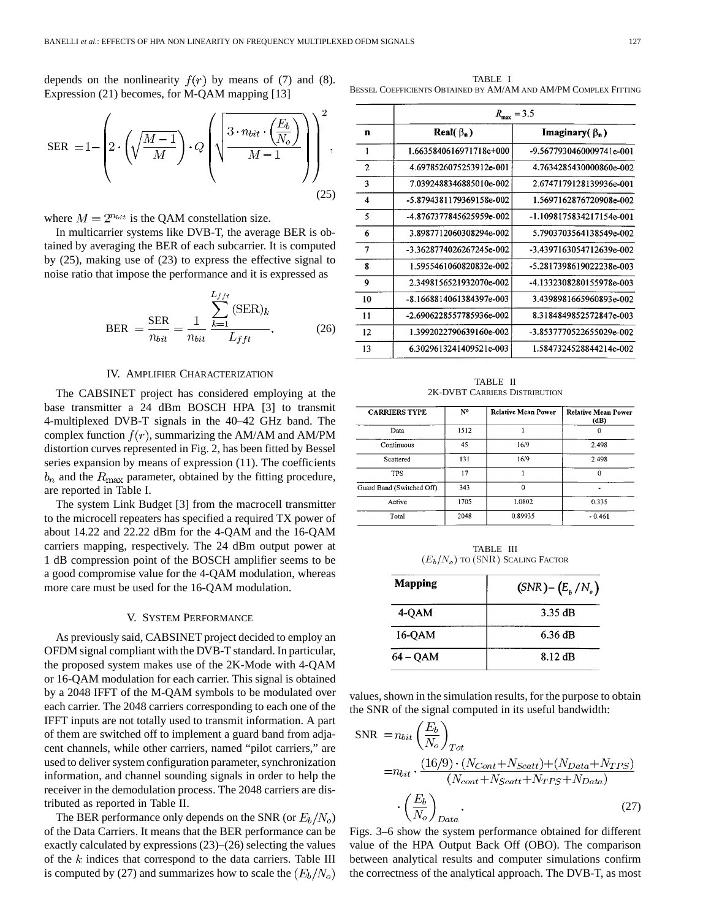depends on the nonlinearity  $f(r)$  by means of (7) and (8). Expression (21) becomes, for M-QAM mapping [13]

$$
\text{SER } = 1 - \left( 2 \cdot \left( \sqrt{\frac{M-1}{M}} \right) \cdot Q \left( \sqrt{\frac{3 \cdot n_{bit} \cdot \left( \frac{E_b}{N_o} \right)}{M-1}} \right) \right)^2, \tag{25}
$$

where  $M = 2^{n_{bit}}$  is the QAM constellation size.

In multicarrier systems like DVB-T, the average BER is obtained by averaging the BER of each subcarrier. It is computed by (25), making use of (23) to express the effective signal to noise ratio that impose the performance and it is expressed as

$$
BER = \frac{SER}{n_{bit}} = \frac{1}{n_{bit}} \frac{\sum_{k=1}^{L_{fft}} (SER)_k}{L_{fft}}.
$$
 (26)

# IV. AMPLIFIER CHARACTERIZATION

The CABSINET project has considered employing at the base transmitter a 24 dBm BOSCH HPA [3] to transmit 4-multiplexed DVB-T signals in the 40–42 GHz band. The complex function  $f(r)$ , summarizing the AM/AM and AM/PM distortion curves represented in Fig. 2, has been fitted by Bessel series expansion by means of expression (11). The coefficients  $b_n$  and the  $R_{\text{max}}$  parameter, obtained by the fitting procedure, are reported in Table I.

The system Link Budget [3] from the macrocell transmitter to the microcell repeaters has specified a required TX power of about 14.22 and 22.22 dBm for the 4-QAM and the 16-QAM carriers mapping, respectively. The 24 dBm output power at 1 dB compression point of the BOSCH amplifier seems to be a good compromise value for the 4-QAM modulation, whereas more care must be used for the 16-QAM modulation.

## V. SYSTEM PERFORMANCE

As previously said, CABSINET project decided to employ an OFDM signal compliant with the DVB-T standard. In particular, the proposed system makes use of the 2K-Mode with 4-QAM or 16-QAM modulation for each carrier. This signal is obtained by a 2048 IFFT of the M-QAM symbols to be modulated over each carrier. The 2048 carriers corresponding to each one of the IFFT inputs are not totally used to transmit information. A part of them are switched off to implement a guard band from adjacent channels, while other carriers, named "pilot carriers," are used to deliver system configuration parameter, synchronization information, and channel sounding signals in order to help the receiver in the demodulation process. The 2048 carriers are distributed as reported in Table II.

The BER performance only depends on the SNR (or  $E_b/N_o$ ) of the Data Carriers. It means that the BER performance can be exactly calculated by expressions (23)–(26) selecting the values of the  $k$  indices that correspond to the data carriers. Table III is computed by (27) and summarizes how to scale the  $(E_b/N_o)$ 

TABLE I BESSEL COEFFICIENTS OBTAINED BY AM/AM AND AM/PM COMPLEX FITTING

|                  | $R_{\rm max} = 3.5$      |                            |  |
|------------------|--------------------------|----------------------------|--|
| n                | Real( $\beta_n$ )        | Imaginary( $\beta_n$ )     |  |
| 1                | 1.6635840616971718e+000  | -9.5677930460009741e-001   |  |
| $\overline{2}$   | 4.6978526075253912e-001  | 4.7634285430000860e-002    |  |
| 3                | 7.0392488346885010e-002  | 2.6747179128139936e-001    |  |
| $\boldsymbol{4}$ | -5.8794381179369158e-002 | 1.5697162876720908e-002    |  |
| 5                | -4.8767377845625959e-002 | $-1.1098175834217154e-001$ |  |
| 6                | 3.8987712060308294e-002  | 5.7903703564138549e-002    |  |
| 7                | -3.3628774026267245e-002 | -3.4397163054712639e-002   |  |
| 8                | 1.5955461060820832e-002  | -5.2817398619022238e-003   |  |
| 9                | 2.3498156521932070e-002  | -4.1332308280155978e-003   |  |
| 10               | -8.1668814061384397e-003 | 3.4398981665960893e-002    |  |
| 11               | -2.6906228557785936e-002 | 8.3184849852572847e-003    |  |
| 12               | 1.3992022790639160e-002  | -3.8537770522655029e-002   |  |
| 13               | 6.3029613241409521e-003  | 1.5847324528844214e-002    |  |

TABLE II 2K-DVBT CARRIERS DISTRIBUTION

| <b>CARRIERS TYPE</b>      | N۰   | <b>Relative Mean Power</b> | <b>Relative Mean Power</b><br>(dB) |
|---------------------------|------|----------------------------|------------------------------------|
| Data                      | 1512 |                            | 0                                  |
| Continuous                | 45   | 16/9                       | 2.498                              |
| Scattered                 | 131  | 16/9                       | 2.498                              |
| TPS                       | 17   |                            | $\theta$                           |
| Guard Band (Switched Off) | 343  | 0                          |                                    |
| Active                    | 1705 | 1.0802                     | 0.335                              |
| Total                     | 2048 | 0.89935                    | $-0.461$                           |

TABLE III  $(E_b/N_o)$  to (SNR) Scaling Factor

| <b>Mapping</b> | $(SNR) - (E_h/N_o)$ |  |
|----------------|---------------------|--|
| 4-QAM          | 3.35 dB             |  |
| 16-OAM         | 6.36 dB             |  |
| 64 – OAM       | 8.12 dB             |  |

values, shown in the simulation results, for the purpose to obtain the SNR of the signal computed in its useful bandwidth:

$$
SNR = n_{bit} \left(\frac{E_b}{N_o}\right)_{Tot}
$$
  
=
$$
n_{bit} \cdot \frac{(16/9) \cdot (N_{Cont} + N_{Scatt}) + (N_{Data} + N_{TPS})}{(N_{cont} + N_{Scatt} + N_{TPS} + N_{Data})}
$$
  

$$
\cdot \left(\frac{E_b}{N_o}\right)_{Data}
$$
 (27)

Figs. 3–6 show the system performance obtained for different value of the HPA Output Back Off (OBO). The comparison between analytical results and computer simulations confirm the correctness of the analytical approach. The DVB-T, as most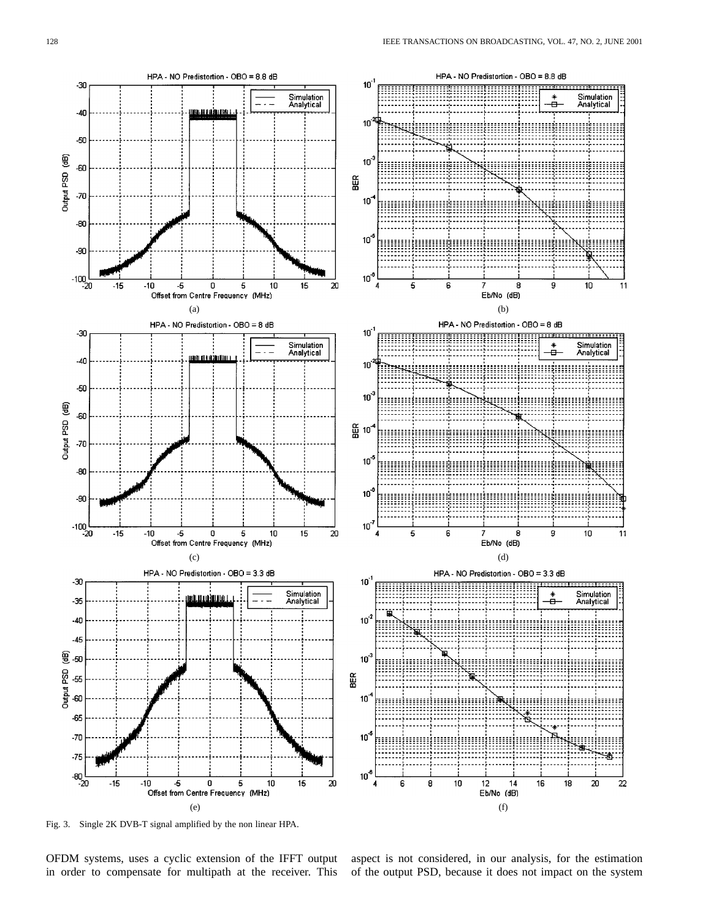

Fig. 3. Single 2K DVB-T signal amplified by the non linear HPA.

OFDM systems, uses a cyclic extension of the IFFT output in order to compensate for multipath at the receiver. This

aspect is not considered, in our analysis, for the estimation of the output PSD, because it does not impact on the system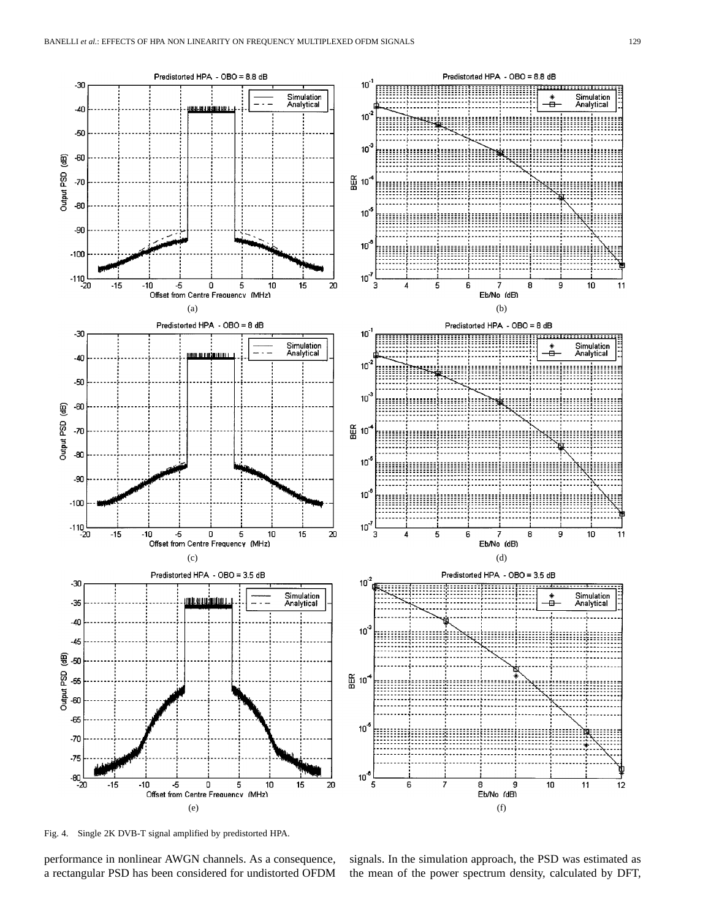

Fig. 4. Single 2K DVB-T signal amplified by predistorted HPA.

performance in nonlinear AWGN channels. As a consequence, a rectangular PSD has been considered for undistorted OFDM signals. In the simulation approach, the PSD was estimated as the mean of the power spectrum density, calculated by DFT,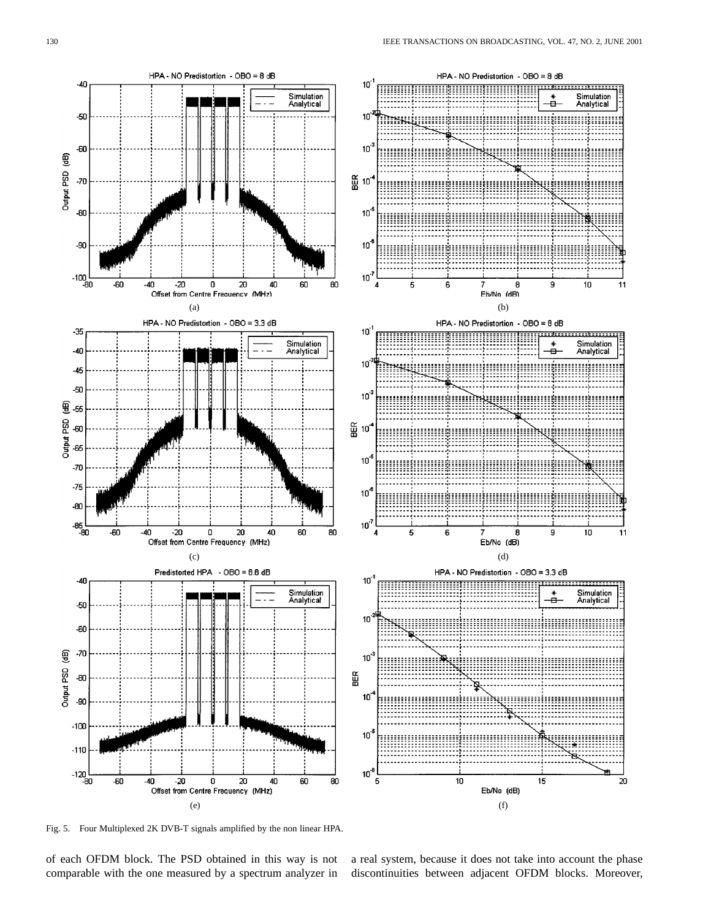

Fig. 5. Four Multiplexed 2K DVB-T signals amplified by the non linear HPA.

of each OFDM block. The PSD obtained in this way is not comparable with the one measured by a spectrum analyzer in

a real system, because it does not take into account the phase discontinuities between adjacent OFDM blocks. Moreover,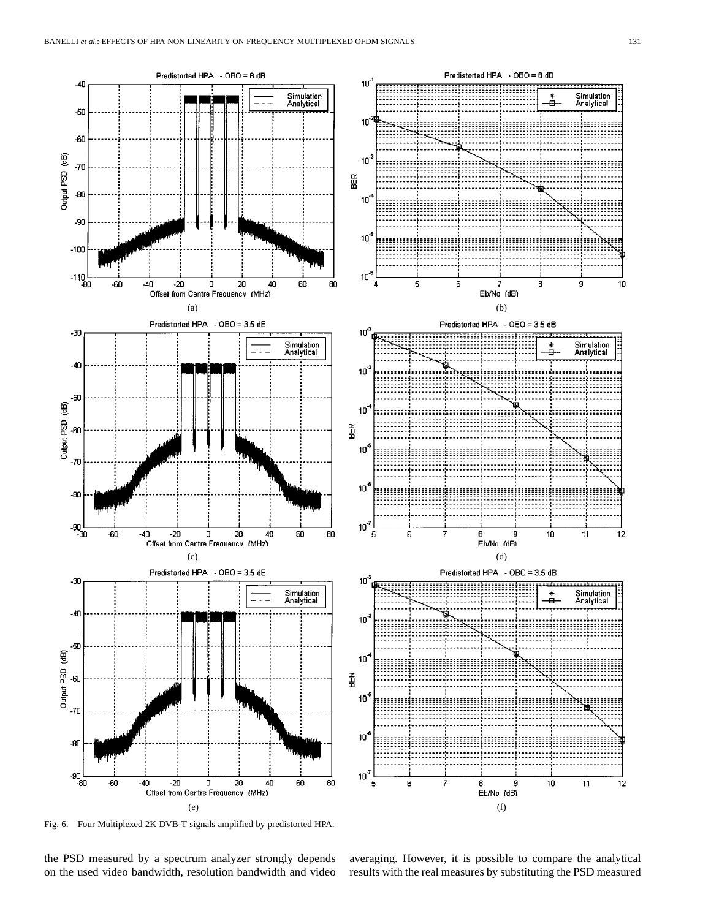

Fig. 6. Four Multiplexed 2K DVB-T signals amplified by predistorted HPA.

the PSD measured by a spectrum analyzer strongly depends on the used video bandwidth, resolution bandwidth and video averaging. However, it is possible to compare the analytical results with the real measures by substituting the PSD measured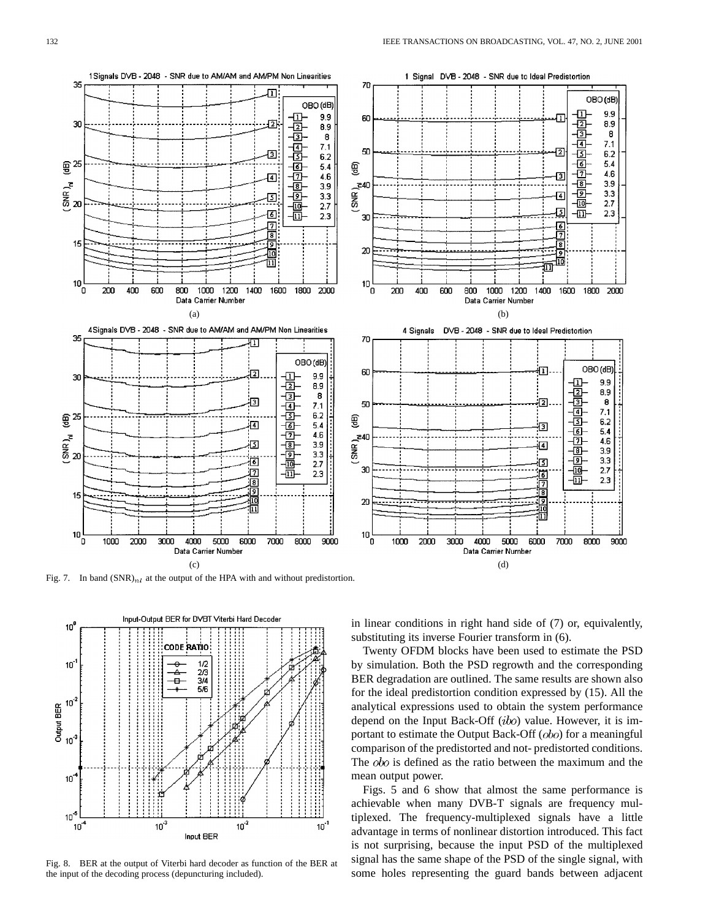

Fig. 7. In band  $(SNR)_{nl}$  at the output of the HPA with and without predistortion.



Fig. 8. BER at the output of Viterbi hard decoder as function of the BER at the input of the decoding process (depuncturing included).

in linear conditions in right hand side of (7) or, equivalently, substituting its inverse Fourier transform in (6).

Twenty OFDM blocks have been used to estimate the PSD by simulation. Both the PSD regrowth and the corresponding BER degradation are outlined. The same results are shown also for the ideal predistortion condition expressed by (15). All the analytical expressions used to obtain the system performance depend on the Input Back-Off  $(ibo)$  value. However, it is important to estimate the Output Back-Off  $(obo)$  for a meaningful comparison of the predistorted and not- predistorted conditions. The *obo* is defined as the ratio between the maximum and the mean output power.

Figs. 5 and 6 show that almost the same performance is achievable when many DVB-T signals are frequency multiplexed. The frequency-multiplexed signals have a little advantage in terms of nonlinear distortion introduced. This fact is not surprising, because the input PSD of the multiplexed signal has the same shape of the PSD of the single signal, with some holes representing the guard bands between adjacent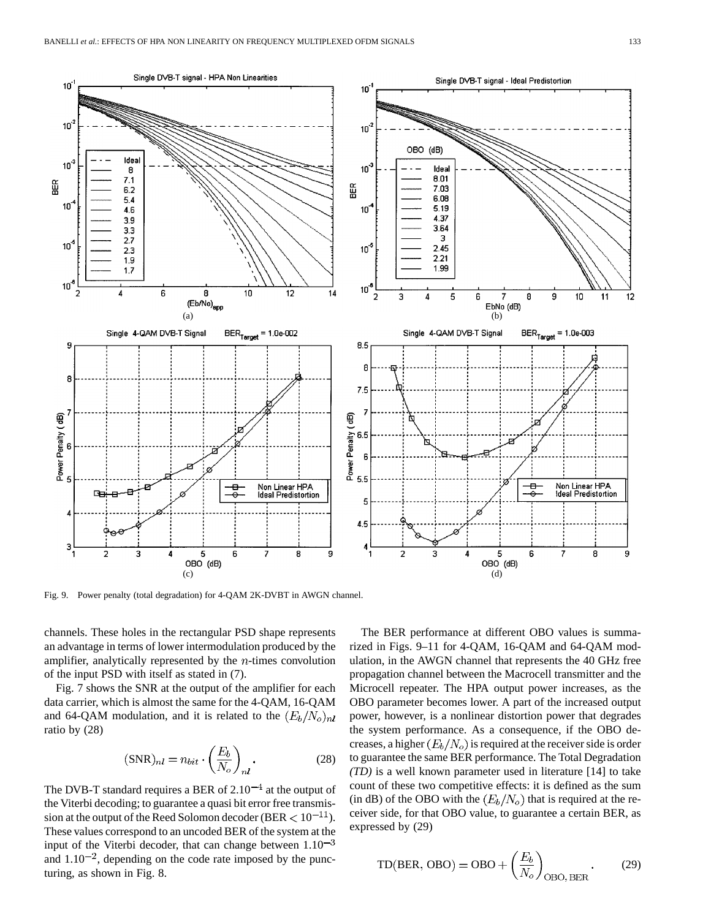

Fig. 9. Power penalty (total degradation) for 4-QAM 2K-DVBT in AWGN channel.

channels. These holes in the rectangular PSD shape represents an advantage in terms of lower intermodulation produced by the amplifier, analytically represented by the  $n$ -times convolution of the input PSD with itself as stated in (7).

Fig. 7 shows the SNR at the output of the amplifier for each data carrier, which is almost the same for the 4-QAM, 16-QAM and 64-QAM modulation, and it is related to the  $(E_b/N_o)_{nl}$ ratio by (28)

$$
(\text{SNR})_{nl} = n_{bit} \cdot \left(\frac{E_b}{N_o}\right)_{nl}.
$$
 (28)

The DVB-T standard requires a BER of  $2.10^{-4}$  at the output of the Viterbi decoding; to guarantee a quasi bit error free transmission at the output of the Reed Solomon decoder (BER  $< 10^{-11}$ ). These values correspond to an uncoded BER of the system at the input of the Viterbi decoder, that can change between  $1.10^{-3}$ and  $1.10^{-2}$ , depending on the code rate imposed by the puncturing, as shown in Fig. 8.

The BER performance at different OBO values is summarized in Figs. 9–11 for 4-QAM, 16-QAM and 64-QAM modulation, in the AWGN channel that represents the 40 GHz free propagation channel between the Macrocell transmitter and the Microcell repeater. The HPA output power increases, as the OBO parameter becomes lower. A part of the increased output power, however, is a nonlinear distortion power that degrades the system performance. As a consequence, if the OBO decreases, a higher  $(E_b/N_o)$  is required at the receiver side is order to guarantee the same BER performance. The Total Degradation *(TD)* is a well known parameter used in literature [14] to take count of these two competitive effects: it is defined as the sum (in dB) of the OBO with the  $(E_b/N_o)$  that is required at the receiver side, for that OBO value, to guarantee a certain BER, as expressed by (29)

$$
TD(BER, OBO) = OBO + \left(\frac{E_b}{N_o}\right)_{OBO, BER}.
$$
 (29)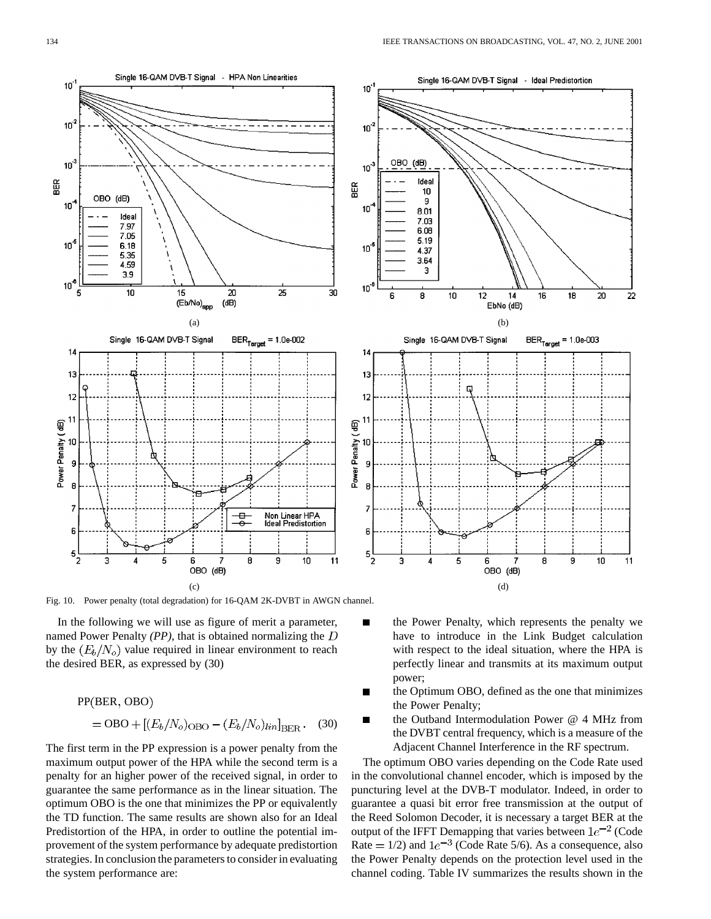

Fig. 10. Power penalty (total degradation) for 16-QAM 2K-DVBT in AWGN channel.

In the following we will use as figure of merit a parameter, named Power Penalty *(PP)*, that is obtained normalizing the by the  $(E_b/N_o)$  value required in linear environment to reach the desired BER, as expressed by (30)

$$
PP(BER, OBO)
$$
  
= OBO + [( $E_b$ / $N_o$ )<sub>OBO</sub> - ( $E_b$ / $N_o$ ) $lin$ ]<sub>BER</sub>. (30)

The first term in the PP expression is a power penalty from the maximum output power of the HPA while the second term is a penalty for an higher power of the received signal, in order to guarantee the same performance as in the linear situation. The optimum OBO is the one that minimizes the PP or equivalently the TD function. The same results are shown also for an Ideal Predistortion of the HPA, in order to outline the potential improvement of the system performance by adequate predistortion strategies. In conclusion the parameters to consider in evaluating the system performance are:

- $\blacksquare$ the Power Penalty, which represents the penalty we have to introduce in the Link Budget calculation with respect to the ideal situation, where the HPA is perfectly linear and transmits at its maximum output power;
- the Optimum OBO, defined as the one that minimizes Г the Power Penalty;
- the Outband Intermodulation Power @ 4 MHz from the DVBT central frequency, which is a measure of the Adjacent Channel Interference in the RF spectrum.

The optimum OBO varies depending on the Code Rate used in the convolutional channel encoder, which is imposed by the puncturing level at the DVB-T modulator. Indeed, in order to guarantee a quasi bit error free transmission at the output of the Reed Solomon Decoder, it is necessary a target BER at the output of the IFFT Demapping that varies between  $1e^{-2}$  (Code Rate  $= 1/2$ ) and  $1e^{-3}$  (Code Rate 5/6). As a consequence, also the Power Penalty depends on the protection level used in the channel coding. Table IV summarizes the results shown in the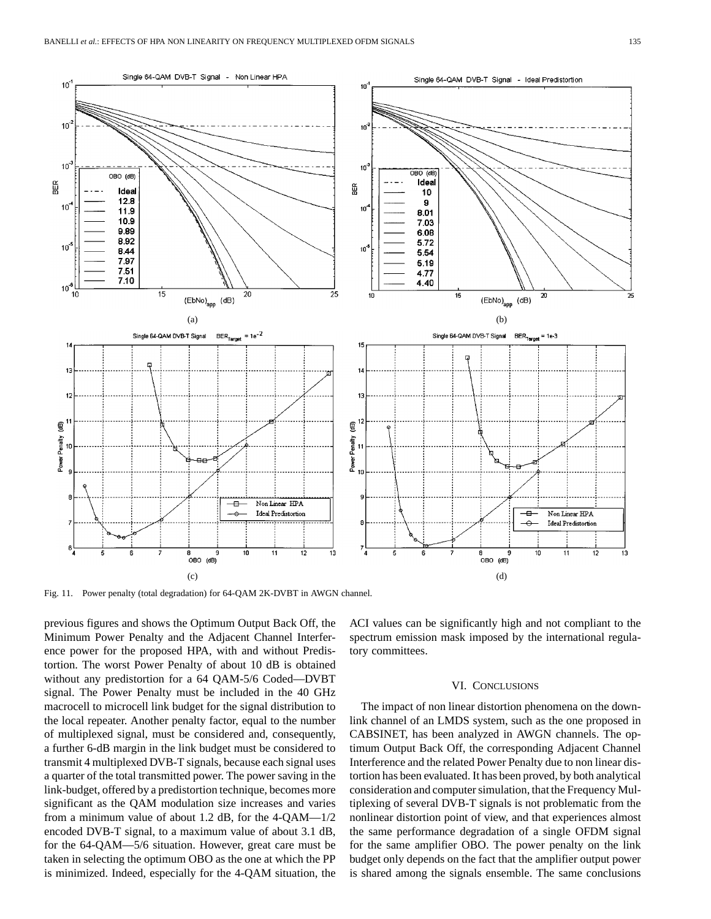

Fig. 11. Power penalty (total degradation) for 64-QAM 2K-DVBT in AWGN channel.

previous figures and shows the Optimum Output Back Off, the Minimum Power Penalty and the Adjacent Channel Interference power for the proposed HPA, with and without Predistortion. The worst Power Penalty of about 10 dB is obtained without any predistortion for a 64 QAM-5/6 Coded—DVBT signal. The Power Penalty must be included in the 40 GHz macrocell to microcell link budget for the signal distribution to the local repeater. Another penalty factor, equal to the number of multiplexed signal, must be considered and, consequently, a further 6-dB margin in the link budget must be considered to transmit 4 multiplexed DVB-T signals, because each signal uses a quarter of the total transmitted power. The power saving in the link-budget, offered by a predistortion technique, becomes more significant as the QAM modulation size increases and varies from a minimum value of about 1.2 dB, for the 4-QAM—1/2 encoded DVB-T signal, to a maximum value of about 3.1 dB, for the 64-QAM—5/6 situation. However, great care must be taken in selecting the optimum OBO as the one at which the PP is minimized. Indeed, especially for the 4-QAM situation, the ACI values can be significantly high and not compliant to the spectrum emission mask imposed by the international regulatory committees.

#### VI. CONCLUSIONS

The impact of non linear distortion phenomena on the downlink channel of an LMDS system, such as the one proposed in CABSINET, has been analyzed in AWGN channels. The optimum Output Back Off, the corresponding Adjacent Channel Interference and the related Power Penalty due to non linear distortion has been evaluated. It has been proved, by both analytical consideration and computer simulation, that the Frequency Multiplexing of several DVB-T signals is not problematic from the nonlinear distortion point of view, and that experiences almost the same performance degradation of a single OFDM signal for the same amplifier OBO. The power penalty on the link budget only depends on the fact that the amplifier output power is shared among the signals ensemble. The same conclusions